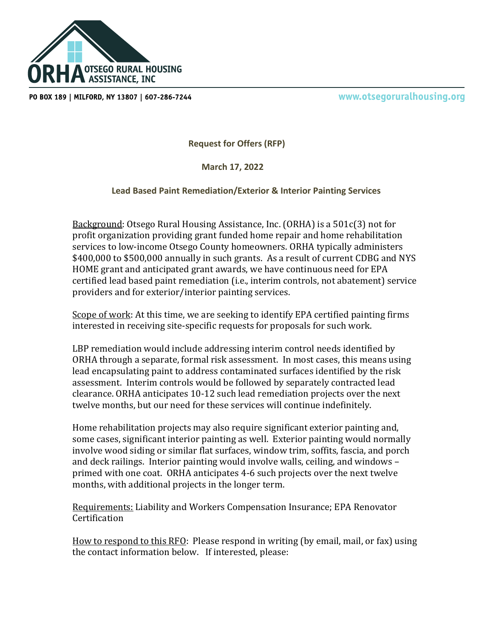

PO BOX 189 | MILFORD, NY 13807 | 607-286-7244

www.otsegoruralhousing.org

**Request for Offers (RFP)**

 **March 17, 2022**

**Lead Based Paint Remediation/Exterior & Interior Painting Services**

Background: Otsego Rural Housing Assistance, Inc. (ORHA) is a 501c(3) not for profit organization providing grant funded home repair and home rehabilitation services to low-income Otsego County homeowners. ORHA typically administers \$400,000 to \$500,000 annually in such grants. As a result of current CDBG and NYS HOME grant and anticipated grant awards, we have continuous need for EPA certified lead based paint remediation (i.e., interim controls, not abatement) service providers and for exterior/interior painting services.

Scope of work: At this time, we are seeking to identify EPA certified painting firms interested in receiving site-specific requests for proposals for such work.

LBP remediation would include addressing interim control needs identified by ORHA through a separate, formal risk assessment. In most cases, this means using lead encapsulating paint to address contaminated surfaces identified by the risk assessment. Interim controls would be followed by separately contracted lead clearance. ORHA anticipates 10-12 such lead remediation projects over the next twelve months, but our need for these services will continue indefinitely.

Home rehabilitation projects may also require significant exterior painting and, some cases, significant interior painting as well. Exterior painting would normally involve wood siding or similar flat surfaces, window trim, soffits, fascia, and porch and deck railings. Interior painting would involve walls, ceiling, and windows – primed with one coat. ORHA anticipates 4-6 such projects over the next twelve months, with additional projects in the longer term.

Requirements: Liability and Workers Compensation Insurance; EPA Renovator **Certification** 

How to respond to this RFO: Please respond in writing (by email, mail, or fax) using the contact information below. If interested, please: